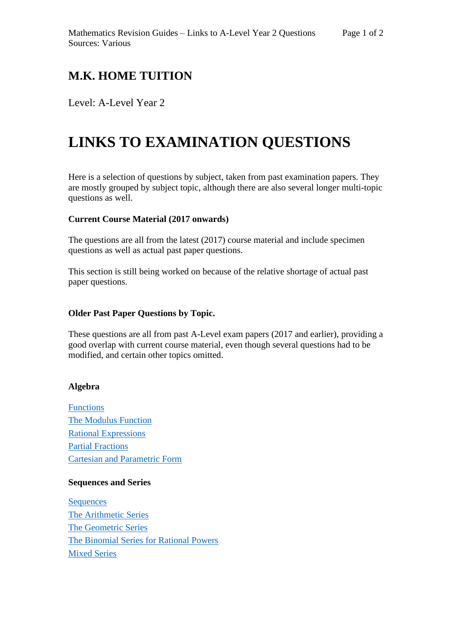# **M.K. HOME TUITION**

Level: A-Level Year 2

# **LINKS TO EXAMINATION QUESTIONS**

Here is a selection of questions by subject, taken from past examination papers. They are mostly grouped by subject topic, although there are also several longer multi-topic questions as well.

#### **Current Course Material (2017 onwards)**

The questions are all from the latest (2017) course material and include specimen questions as well as actual past paper questions.

This section is still being worked on because of the relative shortage of actual past paper questions.

#### **Older Past Paper Questions by Topic.**

These questions are all from past A-Level exam papers (2017 and earlier), providing a good overlap with current course material, even though several questions had to be modified, and certain other topics omitted.

#### **Algebra**

[Functions](http://mkhometuition.co.uk/index_files/Questions/A2-011%20Functions.pdf) [The Modulus Function](http://mkhometuition.co.uk/index_files/Questions/A2-014%20The%20Modulus%20Function.pdf) [Rational Expressions](http://mkhometuition.co.uk/index_files/Questions/A2-021%20Rational%20Expressions.pdf) [Partial Fractions](http://mkhometuition.co.uk/index_files/Questions/A2-022%20Partial%20Fractions.pdf) [Cartesian and Parametric Form](http://mkhometuition.co.uk/index_files/Questions/A2-032%20Parametric%20Equations%20-%20Cartesian%20and%20Parametric%20Form%20.pdf)

### **Sequences and Series**

**[Sequences](http://mkhometuition.co.uk/index_files/Questions/A2-041%20Sequences%20.pdf)** [The Arithmetic Series](http://mkhometuition.co.uk/index_files/Questions/A2-043%20The%20Arithmetic%20Series%20.pdf) [The Geometric Series](http://mkhometuition.co.uk/index_files/Questions/A2-044%20The%20Geometric%20Series%20.pdf) [The Binomial Series](http://mkhometuition.co.uk/index_files/Questions/A2-045%20The%20Binomial%20Series%20for%20Rational%20Powers%20.pdf) for Rational Powers [Mixed Series](http://mkhometuition.co.uk/index_files/Questions/A2-046%20Mixed%20Series.pdf)